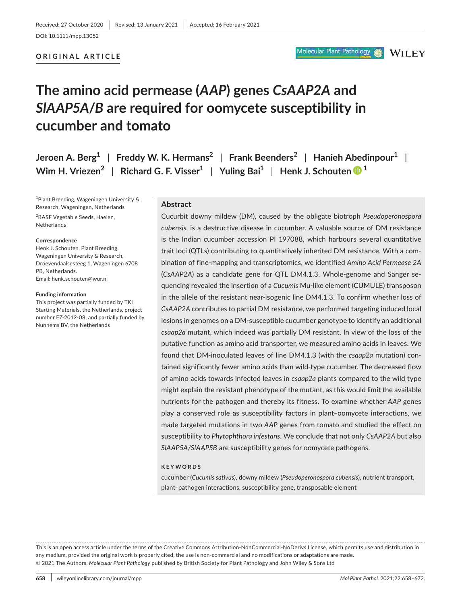#### **ORIGINAL ARTICLE**

#### Molecular Plant Pathology

**WILEY** 

# **The amino acid permease (***AAP***) genes** *CsAAP2A* **and**  *SlAAP5A***/***B* **are required for oomycete susceptibility in cucumber and tomato**

**Jeroen A. Berg1** | **Freddy W. K. Hermans2** | **Frank Beenders2** | **Hanieh Abedinpour1** | **Wim H. Vriezen**<sup>2</sup> | Richard G. F. Visser<sup>[1](https://orcid.org/0000-0003-4495-1951)</sup> | Yuling Bai<sup>1</sup> | Henk J. Schouten  $\bullet$ <sup>1</sup>

1 Plant Breeding, Wageningen University & Research, Wageningen, Netherlands <sup>2</sup>BASF Vegetable Seeds, Haelen, Netherlands

#### **Correspondence**

Henk J. Schouten, Plant Breeding, Wageningen University & Research, Droevendaalsesteeg 1, Wageningen 6708 PB, Netherlands. Email: [henk.schouten@wur.nl](mailto:henk.schouten@wur.nl)

#### **Funding information**

This project was partially funded by TKI Starting Materials, the Netherlands, project number EZ-2012-08, and partially funded by Nunhems BV, the Netherlands

#### **Abstract**

Cucurbit downy mildew (DM), caused by the obligate biotroph *Pseudoperonospora cubensis*, is a destructive disease in cucumber. A valuable source of DM resistance is the Indian cucumber accession PI 197088, which harbours several quantitative trait loci (QTLs) contributing to quantitatively inherited DM resistance. With a combination of fine-mapping and transcriptomics, we identified *Amino Acid Permease 2A* (*CsAAP2A*) as a candidate gene for QTL DM4.1.3. Whole-genome and Sanger sequencing revealed the insertion of a *Cucumis* Mu-like element (CUMULE) transposon in the allele of the resistant near-isogenic line DM4.1.3. To confirm whether loss of *CsAAP2A* contributes to partial DM resistance, we performed targeting induced local lesions in genomes on a DM-susceptible cucumber genotype to identify an additional *csaap2a* mutant, which indeed was partially DM resistant. In view of the loss of the putative function as amino acid transporter, we measured amino acids in leaves. We found that DM-inoculated leaves of line DM4.1.3 (with the *csaap2a* mutation) contained significantly fewer amino acids than wild-type cucumber. The decreased flow of amino acids towards infected leaves in *csaap2a* plants compared to the wild type might explain the resistant phenotype of the mutant, as this would limit the available nutrients for the pathogen and thereby its fitness. To examine whether *AAP* genes play a conserved role as susceptibility factors in plant–oomycete interactions, we made targeted mutations in two *AAP* genes from tomato and studied the effect on susceptibility to *Phytophthora infestans*. We conclude that not only *CsAAP2A* but also *SlAAP5A/SlAAP5B* are susceptibility genes for oomycete pathogens.

#### **KEYWORDS**

cucumber (*Cucumis sativus*), downy mildew (*Pseudoperonospora cubensis*), nutrient transport, plant–pathogen interactions, susceptibility gene, transposable element

This is an open access article under the terms of the [Creative Commons Attribution-NonCommercial-NoDerivs](http://creativecommons.org/licenses/by-nc-nd/4.0/) License, which permits use and distribution in any medium, provided the original work is properly cited, the use is non-commercial and no modifications or adaptations are made. © 2021 The Authors. *Molecular Plant Pathology* published by British Society for Plant Pathology and John Wiley & Sons Ltd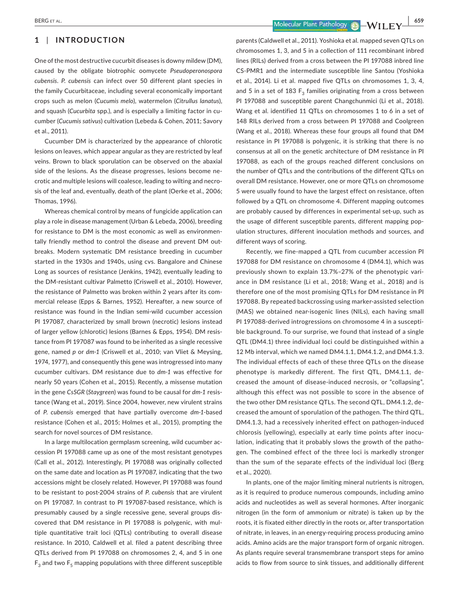### **1** | **INTRODUCTION**

One of the most destructive cucurbit diseases is downy mildew (DM), caused by the obligate biotrophic oomycete *Pseudoperonospora cubensis*. *P. cubensis* can infect over 50 different plant species in the family Cucurbitaceae, including several economically important crops such as melon (*Cucumis melo*), watermelon (*Citrullus lanatus*), and squash (*Cucurbita* spp.), and is especially a limiting factor in cucumber (*Cucumis sativus*) cultivation (Lebeda & Cohen, 2011; Savory et al., 2011).

Cucumber DM is characterized by the appearance of chlorotic lesions on leaves, which appear angular as they are restricted by leaf veins. Brown to black sporulation can be observed on the abaxial side of the lesions. As the disease progresses, lesions become necrotic and multiple lesions will coalesce, leading to wilting and necrosis of the leaf and, eventually, death of the plant (Oerke et al., 2006; Thomas, 1996).

Whereas chemical control by means of fungicide application can play a role in disease management (Urban & Lebeda, 2006), breeding for resistance to DM is the most economic as well as environmentally friendly method to control the disease and prevent DM outbreaks. Modern systematic DM resistance breeding in cucumber started in the 1930s and 1940s, using cvs. Bangalore and Chinese Long as sources of resistance (Jenkins, 1942), eventually leading to the DM-resistant cultivar Palmetto (Criswell et al., 2010). However, the resistance of Palmetto was broken within 2 years after its commercial release (Epps & Barnes, 1952). Hereafter, a new source of resistance was found in the Indian semi-wild cucumber accession PI 197087, characterized by small brown (necrotic) lesions instead of larger yellow (chlorotic) lesions (Barnes & Epps, 1954). DM resistance from PI 197087 was found to be inherited as a single recessive gene, named *p* or *dm-1* (Criswell et al., 2010; van Vliet & Meysing, 1974, 1977), and consequently this gene was introgressed into many cucumber cultivars. DM resistance due to *dm-1* was effective for nearly 50 years (Cohen et al., 2015). Recently, a missense mutation in the gene *CsSGR* (*Staygreen*) was found to be causal for *dm-1* resistance (Wang et al., 2019). Since 2004, however, new virulent strains of *P. cubensis* emerged that have partially overcome *dm-1*-based resistance (Cohen et al., 2015; Holmes et al., 2015), prompting the search for novel sources of DM resistance.

In a large multilocation germplasm screening, wild cucumber accession PI 197088 came up as one of the most resistant genotypes (Call et al., 2012). Interestingly, PI 197088 was originally collected on the same date and location as PI 197087, indicating that the two accessions might be closely related. However, PI 197088 was found to be resistant to post-2004 strains of *P. cubensis* that are virulent on PI 197087. In contrast to PI 197087-based resistance, which is presumably caused by a single recessive gene, several groups discovered that DM resistance in PI 197088 is polygenic, with multiple quantitative trait loci (QTLs) contributing to overall disease resistance. In 2010, Caldwell et al. filed a patent describing three QTLs derived from PI 197088 on chromosomes 2, 4, and 5 in one  $F_3$  and two  $F_5$  mapping populations with three different susceptible parents (Caldwell et al., 2011). Yoshioka et al. mapped seven QTLs on chromosomes 1, 3, and 5 in a collection of 111 recombinant inbred lines (RILs) derived from a cross between the PI 197088 inbred line CS-PMR1 and the intermediate susceptible line Santou (Yoshioka et al., 2014). Li et al. mapped five QTLs on chromosomes 1, 3, 4, and 5 in a set of 183  $F_3$  families originating from a cross between PI 197088 and susceptible parent Changchunmici (Li et al., 2018). Wang et al. identified 11 QTLs on chromosomes 1 to 6 in a set of 148 RILs derived from a cross between PI 197088 and Coolgreen (Wang et al., 2018). Whereas these four groups all found that DM resistance in PI 197088 is polygenic, it is striking that there is no consensus at all on the genetic architecture of DM resistance in PI 197088, as each of the groups reached different conclusions on the number of QTLs and the contributions of the different QTLs on overall DM resistance. However, one or more QTLs on chromosome 5 were usually found to have the largest effect on resistance, often followed by a QTL on chromosome 4. Different mapping outcomes are probably caused by differences in experimental set-up, such as the usage of different susceptible parents, different mapping population structures, different inoculation methods and sources, and different ways of scoring.

Recently, we fine-mapped a QTL from cucumber accession PI 197088 for DM resistance on chromosome 4 (DM4.1), which was previously shown to explain 13.7%–27% of the phenotypic variance in DM resistance (Li et al., 2018; Wang et al., 2018) and is therefore one of the most promising QTLs for DM resistance in PI 197088. By repeated backcrossing using marker-assisted selection (MAS) we obtained near-isogenic lines (NILs), each having small PI 197088-derived introgressions on chromosome 4 in a susceptible background. To our surprise, we found that instead of a single QTL (DM4.1) three individual loci could be distinguished within a 12 Mb interval, which we named DM4.1.1, DM4.1.2, and DM4.1.3. The individual effects of each of these three QTLs on the disease phenotype is markedly different. The first QTL, DM4.1.1, decreased the amount of disease-induced necrosis, or "collapsing", although this effect was not possible to score in the absence of the two other DM resistance QTLs. The second QTL, DM4.1.2, decreased the amount of sporulation of the pathogen. The third QTL, DM4.1.3, had a recessively inherited effect on pathogen-induced chlorosis (yellowing), especially at early time points after inoculation, indicating that it probably slows the growth of the pathogen. The combined effect of the three loci is markedly stronger than the sum of the separate effects of the individual loci (Berg et al., 2020).

In plants, one of the major limiting mineral nutrients is nitrogen, as it is required to produce numerous compounds, including amino acids and nucleotides as well as several hormones. After inorganic nitrogen (in the form of ammonium or nitrate) is taken up by the roots, it is fixated either directly in the roots or, after transportation of nitrate, in leaves, in an energy-requiring process producing amino acids. Amino acids are the major transport form of organic nitrogen. As plants require several transmembrane transport steps for amino acids to flow from source to sink tissues, and additionally different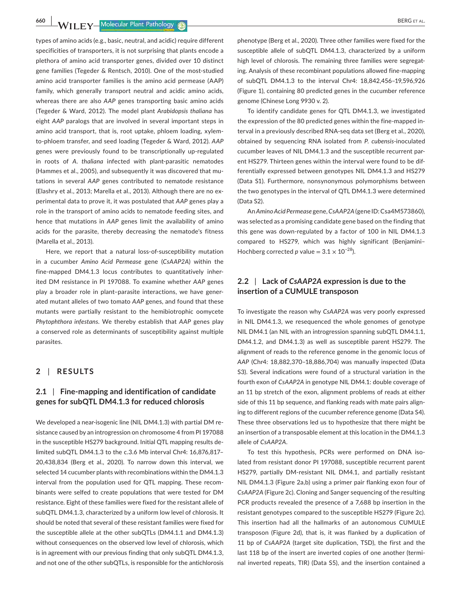**660 WII EV** Molecular Plant Pathology **C BERG ET AL.** 

types of amino acids (e.g., basic, neutral, and acidic) require different specificities of transporters, it is not surprising that plants encode a plethora of amino acid transporter genes, divided over 10 distinct gene families (Tegeder & Rentsch, 2010). One of the most-studied amino acid transporter families is the amino acid permease (AAP) family, which generally transport neutral and acidic amino acids, whereas there are also *AAP* genes transporting basic amino acids (Tegeder & Ward, 2012). The model plant *Arabidopsis thaliana* has eight *AAP* paralogs that are involved in several important steps in amino acid transport, that is, root uptake, phloem loading, xylemto-phloem transfer, and seed loading (Tegeder & Ward, 2012). *AAP* genes were previously found to be transcriptionally up-regulated in roots of *A. thaliana* infected with plant-parasitic nematodes (Hammes et al., 2005), and subsequently it was discovered that mutations in several *AAP* genes contributed to nematode resistance (Elashry et al., 2013; Marella et al., 2013). Although there are no experimental data to prove it, it was postulated that *AAP* genes play a role in the transport of amino acids to nematode feeding sites, and hence that mutations in *AAP* genes limit the availability of amino acids for the parasite, thereby decreasing the nematode's fitness (Marella et al., 2013).

Here, we report that a natural loss-of-susceptibility mutation in a cucumber *Amino Acid Permease* gene (*CsAAP2A*) within the fine-mapped DM4.1.3 locus contributes to quantitatively inherited DM resistance in PI 197088. To examine whether *AAP* genes play a broader role in plant–parasite interactions, we have generated mutant alleles of two tomato *AAP* genes, and found that these mutants were partially resistant to the hemibiotrophic oomycete *Phytophthora infestans*. We thereby establish that *AAP* genes play a conserved role as determinants of susceptibility against multiple parasites.

### **2** | **RESULTS**

### **2.1** | **Fine-mapping and identification of candidate genes for subQTL DM4.1.3 for reduced chlorosis**

We developed a near-isogenic line (NIL DM4.1.3) with partial DM resistance caused by an introgression on chromosome 4 from PI 197088 in the susceptible HS279 background. Initial QTL mapping results delimited subQTL DM4.1.3 to the c.3.6 Mb interval Chr4: 16,876,817– 20,438,834 (Berg et al., 2020). To narrow down this interval, we selected 14 cucumber plants with recombinations within the DM4.1.3 interval from the population used for QTL mapping. These recombinants were selfed to create populations that were tested for DM resistance. Eight of these families were fixed for the resistant allele of subQTL DM4.1.3, characterized by a uniform low level of chlorosis. It should be noted that several of these resistant families were fixed for the susceptible allele at the other subQTLs (DM4.1.1 and DM4.1.3) without consequences on the observed low level of chlorosis, which is in agreement with our previous finding that only subQTL DM4.1.3, and not one of the other subQTLs, is responsible for the antichlorosis

phenotype (Berg et al., 2020). Three other families were fixed for the susceptible allele of subQTL DM4.1.3, characterized by a uniform high level of chlorosis. The remaining three families were segregating. Analysis of these recombinant populations allowed fine-mapping of subQTL DM4.1.3 to the interval Chr4: 18,842,456–19,596,926 (Figure 1), containing 80 predicted genes in the cucumber reference genome (Chinese Long 9930 v. 2).

To identify candidate genes for QTL DM4.1.3, we investigated the expression of the 80 predicted genes within the fine-mapped interval in a previously described RNA-seq data set (Berg et al., 2020), obtained by sequencing RNA isolated from *P. cubensis*-inoculated cucumber leaves of NIL DM4.1.3 and the susceptible recurrent parent HS279. Thirteen genes within the interval were found to be differentially expressed between genotypes NIL DM4.1.3 and HS279 (Data S1). Furthermore, nonsynonymous polymorphisms between the two genotypes in the interval of QTL DM4.1.3 were determined (Data S2).

An *Amino Acid Permease* gene, *CsAAP2A* (gene ID: Csa4M573860), was selected as a promising candidate gene based on the finding that this gene was down-regulated by a factor of 100 in NIL DM4.1.3 compared to HS279, which was highly significant (Benjamini– Hochberg corrected *p* value =  $3.1 \times 10^{-28}$ ).

## **2.2** | **Lack of** *CsAAP2A* **expression is due to the insertion of a CUMULE transposon**

To investigate the reason why *CsAAP2A* was very poorly expressed in NIL DM4.1.3, we resequenced the whole genomes of genotype NIL DM4.1 (an NIL with an introgression spanning subQTL DM4.1.1, DM4.1.2, and DM4.1.3) as well as susceptible parent HS279. The alignment of reads to the reference genome in the genomic locus of *AAP* (Chr4: 18,882,370–18,886,704) was manually inspected (Data S3). Several indications were found of a structural variation in the fourth exon of *CsAAP2A* in genotype NIL DM4.1: double coverage of an 11 bp stretch of the exon, alignment problems of reads at either side of this 11 bp sequence, and flanking reads with mate pairs aligning to different regions of the cucumber reference genome (Data S4). These three observations led us to hypothesize that there might be an insertion of a transposable element at this location in the DM4.1.3 allele of *CsAAP2A*.

To test this hypothesis, PCRs were performed on DNA isolated from resistant donor PI 197088, susceptible recurrent parent HS279, partially DM-resistant NIL DM4.1, and partially resistant NIL DM4.1.3 (Figure 2a,b) using a primer pair flanking exon four of *CsAAP2A* (Figure 2c). Cloning and Sanger sequencing of the resulting PCR products revealed the presence of a 7,688 bp insertion in the resistant genotypes compared to the susceptible HS279 (Figure 2c). This insertion had all the hallmarks of an autonomous CUMULE transposon (Figure 2d), that is, it was flanked by a duplication of 11 bp of *CsAAP2A* (target site duplication, TSD), the first and the last 118 bp of the insert are inverted copies of one another (terminal inverted repeats, TIR) (Data S5), and the insertion contained a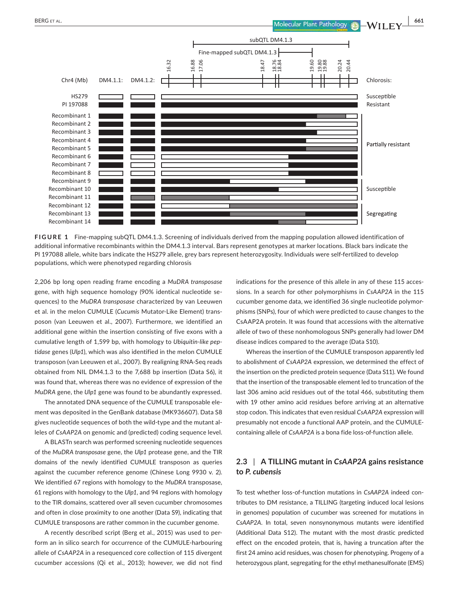

**FIGURE 1** Fine-mapping subQTL DM4.1.3. Screening of individuals derived from the mapping population allowed identification of additional informative recombinants within the DM4.1.3 interval. Bars represent genotypes at marker locations. Black bars indicate the PI 197088 allele, white bars indicate the HS279 allele, grey bars represent heterozygosity. Individuals were self-fertilized to develop populations, which were phenotyped regarding chlorosis

2,206 bp long open reading frame encoding a *MuDRA transposase* gene, with high sequence homology (90% identical nucleotide sequences) to the *MuDRA transposase* characterized by van Leeuwen et al. in the melon CUMULE (*Cucumis* Mutator-Like Element) transposon (van Leeuwen et al., 2007). Furthermore, we identified an additional gene within the insertion consisting of five exons with a cumulative length of 1,599 bp, with homology to *Ubiquitin-like peptidase* genes (*Ulp1*), which was also identified in the melon CUMULE transposon (van Leeuwen et al., 2007). By realigning RNA-Seq reads obtained from NIL DM4.1.3 to the 7,688 bp insertion (Data S6), it was found that, whereas there was no evidence of expression of the *MuDRA* gene, the *Ulp1* gene was found to be abundantly expressed.

The annotated DNA sequence of the CUMULE transposable element was deposited in the GenBank database (MK936607). Data S8 gives nucleotide sequences of both the wild-type and the mutant alleles of *CsAAP2A* on genomic and (predicted) coding sequence level.

A BLASTn search was performed screening nucleotide sequences of the *MuDRA transposase* gene, the *Ulp1* protease gene, and the TIR domains of the newly identified CUMULE transposon as queries against the cucumber reference genome (Chinese Long 9930 v. 2). We identified 67 regions with homology to the *MuDRA* transposase, 61 regions with homology to the *Ulp1*, and 94 regions with homology to the TIR domains, scattered over all seven cucumber chromosomes and often in close proximity to one another (Data S9), indicating that CUMULE transposons are rather common in the cucumber genome.

A recently described script (Berg et al., 2015) was used to perform an in silico search for occurrence of the CUMULE-harbouring allele of *CsAAP2A* in a resequenced core collection of 115 divergent cucumber accessions (Qi et al., 2013); however, we did not find indications for the presence of this allele in any of these 115 accessions. In a search for other polymorphisms in *CsAAP2A* in the 115 cucumber genome data, we identified 36 single nucleotide polymorphisms (SNPs), four of which were predicted to cause changes to the CsAAP2A protein. It was found that accessions with the alternative allele of two of these nonhomologous SNPs generally had lower DM disease indices compared to the average (Data S10).

Whereas the insertion of the CUMULE transposon apparently led to abolishment of *CsAAP2A* expression, we determined the effect of the insertion on the predicted protein sequence (Data S11). We found that the insertion of the transposable element led to truncation of the last 306 amino acid residues out of the total 466, substituting them with 19 other amino acid residues before arriving at an alternative stop codon. This indicates that even residual *CsAAP2A* expression will presumably not encode a functional AAP protein, and the CUMULEcontaining allele of *CsAAP2A* is a bona fide loss-of-function allele.

# **2.3** | **A TILLING mutant in** *CsAAP2A* **gains resistance to** *P. cubensis*

To test whether loss-of-function mutations in *CsAAP2A* indeed contributes to DM resistance, a TILLING (targeting induced local lesions in genomes) population of cucumber was screened for mutations in *CsAAP2A*. In total, seven nonsynonymous mutants were identified (Additional Data S12). The mutant with the most drastic predicted effect on the encoded protein, that is, having a truncation after the first 24 amino acid residues, was chosen for phenotyping. Progeny of a heterozygous plant, segregating for the ethyl methanesulfonate (EMS)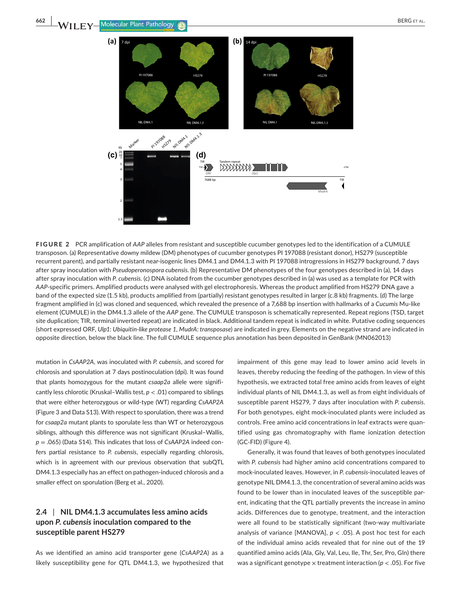

**FIGURE 2** PCR amplification of *AAP* alleles from resistant and susceptible cucumber genotypes led to the identification of a CUMULE transposon. (a) Representative downy mildew (DM) phenotypes of cucumber genotypes PI 197088 (resistant donor), HS279 (susceptible recurrent parent), and partially resistant near-isogenic lines DM4.1 and DM4.1.3 with PI 197088 introgressions in HS279 background, 7 days after spray inoculation with *Pseudoperonospora cubensis*. (b) Representative DM phenotypes of the four genotypes described in (a), 14 days after spray inoculation with *P. cubensis*. (c) DNA isolated from the cucumber genotypes described in (a) was used as a template for PCR with *AAP-*specific primers. Amplified products were analysed with gel electrophoresis. Whereas the product amplified from HS279 DNA gave a band of the expected size (1.5 kb), products amplified from (partially) resistant genotypes resulted in larger (c.8 kb) fragments. (d) The large fragment amplified in (c) was cloned and sequenced, which revealed the presence of a 7,688 bp insertion with hallmarks of a *Cucumis* Mu-like element (CUMULE) in the DM4.1.3 allele of the *AAP* gene. The CUMULE transposon is schematically represented. Repeat regions (TSD, target site duplication; TIR, terminal inverted repeat) are indicated in black. Additional tandem repeat is indicated in white. Putative coding sequences (short expressed ORF, *Ulp1*: *Ubiquitin-like protease 1*, *MudrA: transposase*) are indicated in grey. Elements on the negative strand are indicated in opposite direction, below the black line. The full CUMULE sequence plus annotation has been deposited in GenBank (MN062013)

mutation in *CsAAP2A*, was inoculated with *P. cubensis*, and scored for chlorosis and sporulation at 7 days postinoculation (dpi). It was found that plants homozygous for the mutant *csaap2a* allele were significantly less chlorotic (Kruskal–Wallis test, *p* < .01) compared to siblings that were either heterozygous or wild-type (WT) regarding *CsAAP2A* (Figure 3 and Data S13). With respect to sporulation, there was a trend for *csaap2a* mutant plants to sporulate less than WT or heterozygous siblings, although this difference was not significant (Kruskal–Wallis, *p* = .065) (Data S14). This indicates that loss of *CsAAP2A* indeed confers partial resistance to *P. cubensis*, especially regarding chlorosis, which is in agreement with our previous observation that subQTL DM4.1.3 especially has an effect on pathogen-induced chlorosis and a smaller effect on sporulation (Berg et al., 2020).

# **2.4** | **NIL DM4.1.3 accumulates less amino acids upon** *P***.** *cubensis* **inoculation compared to the susceptible parent HS279**

As we identified an amino acid transporter gene (*CsAAP2A*) as a likely susceptibility gene for QTL DM4.1.3, we hypothesized that impairment of this gene may lead to lower amino acid levels in leaves, thereby reducing the feeding of the pathogen. In view of this hypothesis, we extracted total free amino acids from leaves of eight individual plants of NIL DM4.1.3, as well as from eight individuals of susceptible parent HS279, 7 days after inoculation with *P. cubensis*. For both genotypes, eight mock-inoculated plants were included as controls. Free amino acid concentrations in leaf extracts were quantified using gas chromatography with flame ionization detection (GC-FID) (Figure 4).

Generally, it was found that leaves of both genotypes inoculated with *P. cubensis* had higher amino acid concentrations compared to mock-inoculated leaves. However, in *P. cubensis*-inoculated leaves of genotype NIL DM4.1.3, the concentration of several amino acids was found to be lower than in inoculated leaves of the susceptible parent, indicating that the QTL partially prevents the increase in amino acids. Differences due to genotype, treatment, and the interaction were all found to be statistically significant (two-way multivariate analysis of variance [MANOVA],  $p < .05$ ]. A post hoc test for each of the individual amino acids revealed that for nine out of the 19 quantified amino acids (Ala, Gly, Val, Leu, Ile, Thr, Ser, Pro, Gln) there was a significant genotype  $\times$  treatment interaction ( $p < .05$ ). For five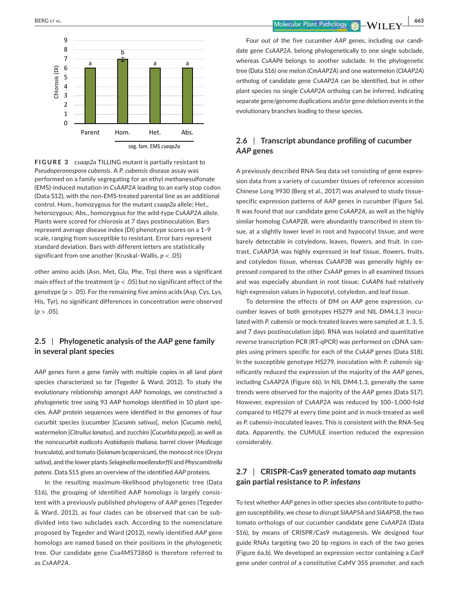

**FIGURE 3** *csaap2a* TILLING mutant is partially resistant to *Pseudoperonospora cubensis*. A *P. cubensis* disease assay was performed on a family segregating for an ethyl methanesulfonate (EMS)-induced mutation in *CsAAP2A* leading to an early stop codon (Data S12), with the non-EMS-treated parental line as an additional control. Hom., homozygous for the mutant *csaap2a* allele; Het., heterozygous; Abs., homozygous for the wild-type *CsAAP2A* allele. Plants were scored for chlorosis at 7 days postinoculation. Bars represent average disease index (DI) phenotype scores on a 1–9 scale, ranging from susceptible to resistant. Error bars represent standard deviation. Bars with different letters are statistically significant from one another (Kruskal–Wallis, *p* < .05)

other amino acids (Asn, Met, Glu, Phe, Trp) there was a significant main effect of the treatment ( $p < .05$ ) but no significant effect of the genotype (*p* > .05). For the remaining five amino acids (Asp, Cys, Lys, His, Tyr), no significant differences in concentration were observed  $(p > .05)$ .

# **2.5** | **Phylogenetic analysis of the** *AAP* **gene family in several plant species**

*AAP* genes form a gene family with multiple copies in all land plant species characterized so far (Tegeder & Ward, 2012). To study the evolutionary relationship amongst *AAP* homologs, we constructed a phylogenetic tree using 93 *AAP* homologs identified in 10 plant species. AAP protein sequences were identified in the genomes of four cucurbit species (cucumber [*Cucumis sativus*], melon [*Cucumis melo*], watermelon [*Citrullus lanatus*], and zucchini [*Cucurbita pepo*]), as well as the noncucurbit eudicots *Arabidopsis thaliana*, barrel clover (*Medicago trunculata*), and tomato (*Solanum lycopersicum*), the monocot rice (*Oryza sativa*), and the lower plants *Selaginella moellendorffii* and *Physcomitrella patens*. Data S15 gives an overview of the identified *AAP* proteins.

In the resulting maximum-likelihood phylogenetic tree (Data S16), the grouping of identified AAP homologs is largely consistent with a previously published phylogeny of *AAP* genes (Tegeder & Ward, 2012), as four clades can be observed that can be subdivided into two subclades each. According to the nomenclature proposed by Tegeder and Ward (2012), newly identified *AAP* gene homologs are named based on their positions in the phylogenetic tree. Our candidate gene Csa4M573860 is therefore referred to as *CsAAP2A*.

 **BERG ET AL. 1998 1999 1999 1999 1999 1999 1999 1999 1999 1999 1999 1999 1999 1999 1999 1999 1999 1999 1999 1999 1999 1999 1999 1999 1999 1999 1999 1999 1999 199** 

Four out of the five cucumber *AAP* genes, including our candidate gene *CsAAP2A*, belong phylogenetically to one single subclade, whereas *CsAAP6* belongs to another subclade. In the phylogenetic tree (Data S16) one melon (*CmAAP2A*) and one watermelon (*ClAAP2A*) ortholog of candidate gene *CsAAP2A* can be identified, but in other plant species no single *CsAAP2A* ortholog can be inferred, indicating separate gene/genome duplications and/or gene deletion events in the evolutionary branches leading to these species.

### **2.6** | **Transcript abundance profiling of cucumber**  *AAP* **genes**

A previously described RNA-Seq data set consisting of gene expression data from a variety of cucumber tissues of reference accession Chinese Long 9930 (Berg et al., 2017) was analysed to study tissuespecific expression patterns of *AAP* genes in cucumber (Figure 5a). It was found that our candidate gene *CsAAP2A*, as well as the highly similar homolog *CsAAP2B*, were abundantly transcribed in stem tissue, at a slightly lower level in root and hypocotyl tissue, and were barely detectable in cotyledons, leaves, flowers, and fruit. In contrast, *CsAAP3A* was highly expressed in leaf tissue, flowers, fruits, and cotyledon tissue, whereas *CsAAP3B* was generally highly expressed compared to the other *CsAAP* genes in all examined tissues and was especially abundant in root tissue. *CsAAP6* had relatively high expression values in hypocotyl, cotyledon, and leaf tissue.

To determine the effects of DM on *AAP* gene expression, cucumber leaves of both genotypes HS279 and NIL DM4.1.3 inoculated with *P. cubensis* or mock-treated leaves were sampled at 1, 3, 5, and 7 days postinoculation (dpi). RNA was isolated and quantitative reverse transcription PCR (RT-qPCR) was performed on cDNA samples using primers specific for each of the *CsAAP* genes (Data S18). In the susceptible genotype HS279, inoculation with *P. cubensis* significantly reduced the expression of the majority of the *AAP* genes, including *CsAAP2A* (Figure 6b). In NIL DM4.1.3, generally the same trends were observed for the majority of the *AAP* genes (Data S17). However, expression of *CsAAP2A* was reduced by 100–1,000-fold compared to HS279 at every time point and in mock-treated as well as *P. cubensis*-inoculated leaves. This is consistent with the RNA-Seq data. Apparently, the CUMULE insertion reduced the expression considerably.

# **2.7** | **CRISPR-Cas9 generated tomato** *aap* **mutants gain partial resistance to** *P. infestans*

To test whether *AAP* genes in other species also contribute to pathogen susceptibility, we chose to disrupt *SlAAP5A* and *SlAAP5B*, the two tomato orthologs of our cucumber candidate gene *CsAAP2A* (Data S16), by means of CRISPR/Cas9 mutagenesis. We designed four guide RNAs targeting two 20 bp regions in each of the two genes (Figure 6a,b). We developed an expression vector containing a *Cas9* gene under control of a constitutive CaMV 35S promoter, and each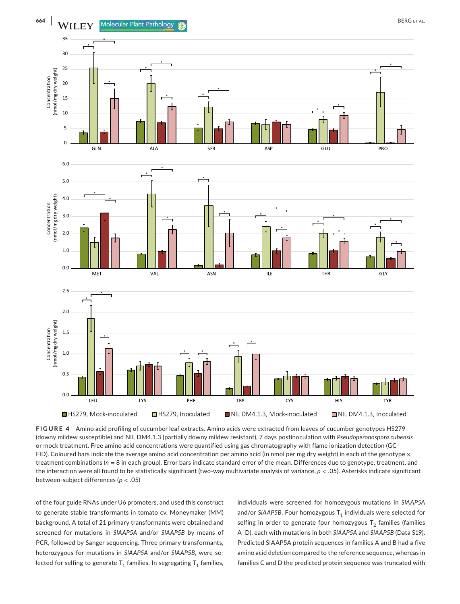

**FIGURE 4** Amino acid profiling of cucumber leaf extracts. Amino acids were extracted from leaves of cucumber genotypes HS279 (downy mildew susceptible) and NIL DM4.1.3 (partially downy mildew resistant), 7 days postinoculation with *Pseudoperonospora cubensis* or mock treatment. Free amino acid concentrations were quantified using gas chromatography with flame ionization detection (GC-FID). Coloured bars indicate the average amino acid concentration per amino acid (in nmol per mg dry weight) in each of the genotype  $\times$ treatment combinations (*n* = 8 in each group). Error bars indicate standard error of the mean. Differences due to genotype, treatment, and the interaction were all found to be statistically significant (two-way multivariate analysis of variance, *p* < .05). Asterisks indicate significant between-subject differences (*p* < .05)

of the four guide RNAs under U6 promoters, and used this construct to generate stable transformants in tomato cv. Moneymaker (MM) background. A total of 21 primary transformants were obtained and screened for mutations in *SlAAP5A* and/or *SlAAP5B* by means of PCR, followed by Sanger sequencing. Three primary transformants, heterozygous for mutations in *SlAAP5A* and/or *SlAAP5B*, were selected for selfing to generate  $T_1$  families. In segregating  $T_1$  families, individuals were screened for homozygous mutations in *SlAAP5A* and/or  $SIAAP5B$ . Four homozygous  $T<sub>1</sub>$  individuals were selected for selfing in order to generate four homozygous  $T_2$  families (families A–D), each with mutations in both *SlAAP5A* and *SlAAP5B* (Data S19). Predicted SlAAP5A protein sequences in families A and B had a five amino acid deletion compared to the reference sequence, whereas in families C and D the predicted protein sequence was truncated with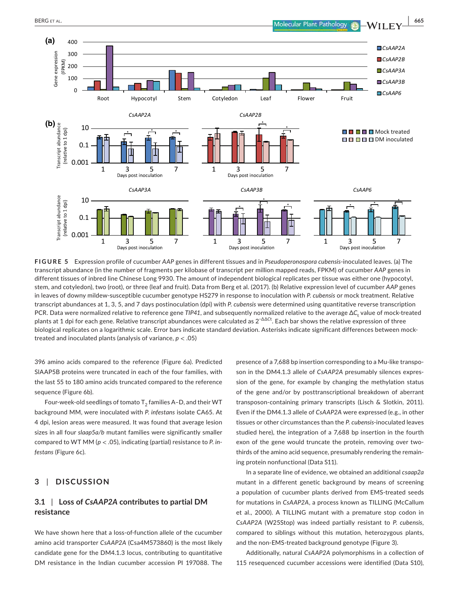

**FIGURE 5** Expression profile of cucumber *AAP* genes in different tissues and in *Pseudoperonospora cubensis*-inoculated leaves. (a) The transcript abundance (in the number of fragments per kilobase of transcript per million mapped reads, FPKM) of cucumber *AAP* genes in different tissues of inbred line Chinese Long 9930. The amount of independent biological replicates per tissue was either one (hypocotyl, stem, and cotyledon), two (root), or three (leaf and fruit). Data from Berg et al. (2017). (b) Relative expression level of cucumber *AAP* genes in leaves of downy mildew-susceptible cucumber genotype HS279 in response to inoculation with *P. cubensis* or mock treatment. Relative transcript abundances at 1, 3, 5, and 7 days postinoculation (dpi) with *P. cubensis* were determined using quantitative reverse transcription PCR. Data were normalized relative to reference gene *TIP41*, and subsequently normalized relative to the average ΔC<sub>t</sub> value of mock-treated plants at 1 dpi for each gene. Relative transcript abundances were calculated as 2−∆∆*C*<sup>t</sup> . Each bar shows the relative expression of three biological replicates on a logarithmic scale. Error bars indicate standard deviation. Asterisks indicate significant differences between mocktreated and inoculated plants (analysis of variance, *p* < .05)

396 amino acids compared to the reference (Figure 6a). Predicted SlAAP5B proteins were truncated in each of the four families, with the last 55 to 180 amino acids truncated compared to the reference sequence (Figure 6b).

Four-week-old seedlings of tomato  $T_2$  families A–D, and their WT background MM, were inoculated with *P. infestans* isolate CA65. At 4 dpi, lesion areas were measured. It was found that average lesion sizes in all four *slaap5a/b* mutant families were significantly smaller compared to WT MM (*p* < .05), indicating (partial) resistance to *P. infestans* (Figure 6c).

### **3** | **DISCUSSION**

# **3.1** | **Loss of** *CsAAP2A* **contributes to partial DM resistance**

We have shown here that a loss-of-function allele of the cucumber amino acid transporter *CsAAP2A* (Csa4M573860) is the most likely candidate gene for the DM4.1.3 locus, contributing to quantitative DM resistance in the Indian cucumber accession PI 197088. The presence of a 7,688 bp insertion corresponding to a Mu-like transposon in the DM4.1.3 allele of *CsAAP2A* presumably silences expression of the gene, for example by changing the methylation status of the gene and/or by posttranscriptional breakdown of aberrant transposon-containing primary transcripts (Lisch & Slotkin, 2011). Even if the DM4.1.3 allele of *CsAAP2A* were expressed (e.g., in other tissues or other circumstances than the *P. cubensis*-inoculated leaves studied here), the integration of a 7,688 bp insertion in the fourth exon of the gene would truncate the protein, removing over twothirds of the amino acid sequence, presumably rendering the remaining protein nonfunctional (Data S11).

In a separate line of evidence, we obtained an additional *csaap2a* mutant in a different genetic background by means of screening a population of cucumber plants derived from EMS-treated seeds for mutations in *CsAAP2A*, a process known as TILLING (McCallum et al., 2000). A TILLING mutant with a premature stop codon in *CsAAP2A* (W25Stop) was indeed partially resistant to *P. cubensis*, compared to siblings without this mutation, heterozygous plants, and the non-EMS-treated background genotype (Figure 3).

Additionally, natural *CsAAP2A* polymorphisms in a collection of 115 resequenced cucumber accessions were identified (Data S10),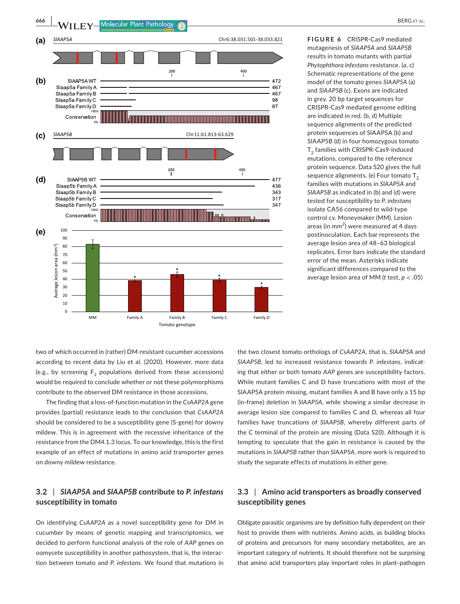

**FIGURE 6** CRISPR-Cas9 mediated mutagenesis of *SlAAP5A* and *SlAAP5B* results in tomato mutants with partial *Phytophthora infestans* resistance. (a, c) Schematic representations of the gene model of the tomato genes *SlAAP5A* (a) and *SlAAP5B* (c). Exons are indicated in grey. 20 bp target sequences for CRISPR-Cas9 mediated genome editing are indicated in red. (b, d) Multiple sequence alignments of the predicted protein sequences of SlAAP5A (b) and SlAAP5B (d) in four homozygous tomato T<sub>2</sub> families with CRISPR-Cas9-induced mutations, compared to the reference protein sequence. Data S20 gives the full sequence alignments. (e) Four tomato  $T_2$ families with mutations in *SlAAP5A* and *SlAAP5B* as indicated in (b) and (d) were tested for susceptibility to *P. infestans* isolate CA56 compared to wild-type control cv. Moneymaker (MM). Lesion areas (in  $mm<sup>2</sup>$ ) were measured at 4 days postinoculation. Each bar represents the average lesion area of 48–63 biological replicates. Error bars indicate the standard error of the mean. Asterisks indicate significant differences compared to the average lesion area of MM (*t* test, *p* < .05)

two of which occurred in (rather) DM-resistant cucumber accessions according to recent data by Liu et al. (2020). However, more data (e.g., by screening  $F<sub>2</sub>$  populations derived from these accessions) would be required to conclude whether or not these polymorphisms contribute to the observed DM resistance in those accessions.

The finding that a loss-of-function mutation in the *CsAAP2A* gene provides (partial) resistance leads to the conclusion that *CsAAP2A* should be considered to be a susceptibility gene (S-gene) for downy mildew. This is in agreement with the recessive inheritance of the resistance from the DM4.1.3 locus. To our knowledge, this is the first example of an effect of mutations in amino acid transporter genes on downy mildew resistance.

# **3.2** | *SlAAP5A* **and** *SlAAP5B* **contribute to** *P. infestans* **susceptibility in tomato**

On identifying *CsAAP2A* as a novel susceptibility gene for DM in cucumber by means of genetic mapping and transcriptomics, we decided to perform functional analysis of the role of *AAP* genes on oomycete susceptibility in another pathosystem, that is, the interaction between tomato and *P. infestans*. We found that mutations in the two closest tomato orthologs of *CsAAP2A*, that is, *SlAAP5A* and *SlAAP5B*, led to increased resistance towards *P. infestans*, indicating that either or both tomato *AAP* genes are susceptibility factors. While mutant families C and D have truncations with most of the SlAAP5A protein missing, mutant families A and B have only a 15 bp (in-frame) deletion in *SlAAP5A*, while showing a similar decrease in average lesion size compared to families C and D, whereas all four families have truncations of *SlAAP5B*, whereby different parts of the C terminal of the protein are missing (Data S20). Although it is tempting to speculate that the gain in resistance is caused by the mutations in *SlAAP5B* rather than *SlAAP5A*, more work is required to study the separate effects of mutations in either gene.

### **3.3** | **Amino acid transporters as broadly conserved susceptibility genes**

Obligate parasitic organisms are by definition fully dependent on their host to provide them with nutrients. Amino acids, as building blocks of proteins and precursors for many secondary metabolites, are an important category of nutrients. It should therefore not be surprising that amino acid transporters play important roles in plant–pathogen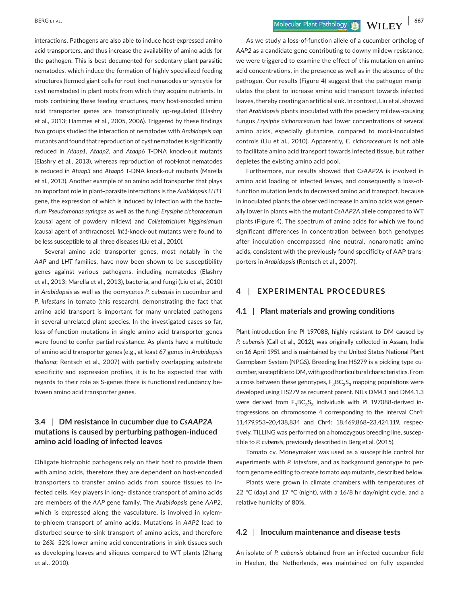interactions. Pathogens are also able to induce host-expressed amino acid transporters, and thus increase the availability of amino acids for the pathogen. This is best documented for sedentary plant-parasitic nematodes, which induce the formation of highly specialized feeding structures (termed giant cells for root-knot nematodes or syncytia for cyst nematodes) in plant roots from which they acquire nutrients. In roots containing these feeding structures, many host-encoded amino acid transporter genes are transcriptionally up-regulated (Elashry et al., 2013; Hammes et al., 2005, 2006). Triggered by these findings two groups studied the interaction of nematodes with *Arabidopsis aap* mutants and found that reproduction of cyst nematodes is significantly reduced in *Ataap1*, *Ataap2*, and *Ataap6* T-DNA knock-out mutants (Elashry et al., 2013), whereas reproduction of root-knot nematodes is reduced in *Ataap3* and *Ataap6* T-DNA knock-out mutants (Marella et al., 2013). Another example of an amino acid transporter that plays an important role in plant–parasite interactions is the *Arabidopsis LHT1* gene, the expression of which is induced by infection with the bacterium *Pseudomonas syringae* as well as the fungi *Erysiphe cichoracearum* (causal agent of powdery mildew) and *Colletotrichum higginsianum* (causal agent of anthracnose). *lht1*-knock-out mutants were found to be less susceptible to all three diseases (Liu et al., 2010).

Several amino acid transporter genes, most notably in the *AAP* and *LHT* families, have now been shown to be susceptibility genes against various pathogens, including nematodes (Elashry et al., 2013; Marella et al., 2013), bacteria, and fungi (Liu et al., 2010) in *Arabidopsis* as well as the oomycetes *P. cubensis* in cucumber and *P. infestans* in tomato (this research), demonstrating the fact that amino acid transport is important for many unrelated pathogens in several unrelated plant species. In the investigated cases so far, loss-of-function mutations in single amino acid transporter genes were found to confer partial resistance. As plants have a multitude of amino acid transporter genes (e.g., at least 67 genes in *Arabidopsis thaliana*; Rentsch et al., 2007) with partially overlapping substrate specificity and expression profiles, it is to be expected that with regards to their role as S-genes there is functional redundancy between amino acid transporter genes.

# **3.4** | **DM resistance in cucumber due to** *CsAAP2A* **mutations is caused by perturbing pathogen-induced amino acid loading of infected leaves**

Obligate biotrophic pathogens rely on their host to provide them with amino acids, therefore they are dependent on host-encoded transporters to transfer amino acids from source tissues to infected cells. Key players in long- distance transport of amino acids are members of the *AAP* gene family. The *Arabidopsis* gene *AAP2*, which is expressed along the vasculature, is involved in xylemto-phloem transport of amino acids. Mutations in *AAP2* lead to disturbed source-to-sink transport of amino acids, and therefore to 26%–52% lower amino acid concentrations in sink tissues such as developing leaves and siliques compared to WT plants (Zhang et al., 2010).

 **BERG ET AL. 1999 CONSIDERS ET AL. 1999 CONSIDERS CONSIDERS CONSIDERS CONSIDERS CONSIDERS CONSIDERS CONSIDERS CONSIDERS CONSIDERS CONSIDERS CONSIDERS CONSIDERS CONSIDERS CONSIDERS CON** 

As we study a loss-of-function allele of a cucumber ortholog of *AAP2* as a candidate gene contributing to downy mildew resistance, we were triggered to examine the effect of this mutation on amino acid concentrations, in the presence as well as in the absence of the pathogen. Our results (Figure 4) suggest that the pathogen manipulates the plant to increase amino acid transport towards infected leaves, thereby creating an artificial sink. In contrast, Liu et al. showed that *Arabidopsis* plants inoculated with the powdery mildew-causing fungus *Erysiphe cichoracearum* had lower concentrations of several amino acids, especially glutamine, compared to mock-inoculated controls (Liu et al., 2010). Apparently, *E. cichoracearum* is not able to facilitate amino acid transport towards infected tissue, but rather depletes the existing amino acid pool.

Furthermore, our results showed that *CsAAP2A* is involved in amino acid loading of infected leaves, and consequently a loss-offunction mutation leads to decreased amino acid transport, because in inoculated plants the observed increase in amino acids was generally lower in plants with the mutant *CsAAP2A* allele compared to WT plants (Figure 4). The spectrum of amino acids for which we found significant differences in concentration between both genotypes after inoculation encompassed nine neutral, nonaromatic amino acids, consistent with the previously found specificity of AAP transporters in *Arabidopsis* (Rentsch et al., 2007).

# **4** | **EXPERIMENTAL PROCEDURES**

#### **4.1** | **Plant materials and growing conditions**

Plant introduction line PI 197088, highly resistant to DM caused by *P. cubensis* (Call et al., 2012), was originally collected in Assam, India on 16 April 1951 and is maintained by the United States National Plant Germplasm System (NPGS). Breeding line HS279 is a pickling type cucumber, susceptible to DM, with good horticultural characteristics. From a cross between these genotypes,  $F_3BC_3S_3$  mapping populations were developed using HS279 as recurrent parent. NILs DM4.1 and DM4.1.3 were derived from  $F_3BC_3S_3$  individuals with PI 197088-derived introgressions on chromosome 4 corresponding to the interval Chr4: 11,479,953–20,438,834 and Chr4: 18,469,868–23,424,119, respectively. TILLING was performed on a homozygous breeding line, susceptible to *P. cubensis*, previously described in Berg et al. (2015).

Tomato cv. Moneymaker was used as a susceptible control for experiments with *P. infestans*, and as background genotype to perform genome editing to create tomato *aap* mutants, described below.

Plants were grown in climate chambers with temperatures of 22 °C (day) and 17 °C (night), with a 16/8 hr day/night cycle, and a relative humidity of 80%.

#### **4.2** | **Inoculum maintenance and disease tests**

An isolate of *P. cubensis* obtained from an infected cucumber field in Haelen, the Netherlands, was maintained on fully expanded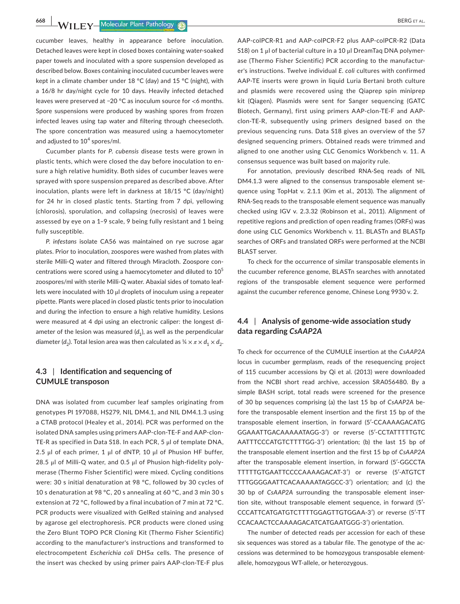**668 | WII EV Molecular Plant Pathology (C)** 

cucumber leaves, healthy in appearance before inoculation. Detached leaves were kept in closed boxes containing water-soaked paper towels and inoculated with a spore suspension developed as described below. Boxes containing inoculated cucumber leaves were kept in a climate chamber under 18 °C (day) and 15 °C (night), with a 16/8 hr day/night cycle for 10 days. Heavily infected detached leaves were preserved at −20 °C as inoculum source for <6 months. Spore suspensions were produced by washing spores from frozen infected leaves using tap water and filtering through cheesecloth. The spore concentration was measured using a haemocytometer and adjusted to  $10^4$  spores/ml.

Cucumber plants for *P. cubensis* disease tests were grown in plastic tents, which were closed the day before inoculation to ensure a high relative humidity. Both sides of cucumber leaves were sprayed with spore suspension prepared as described above. After inoculation, plants were left in darkness at 18/15 °C (day/night) for 24 hr in closed plastic tents. Starting from 7 dpi, yellowing (chlorosis), sporulation, and collapsing (necrosis) of leaves were assessed by eye on a 1–9 scale, 9 being fully resistant and 1 being fully susceptible.

*P. infestans* isolate CA56 was maintained on rye sucrose agar plates. Prior to inoculation, zoospores were washed from plates with sterile Milli-Q water and filtered through Miracloth. Zoospore concentrations were scored using a haemocytometer and diluted to  $10^5$ zoospores/ml with sterile Milli-Q water. Abaxial sides of tomato leaflets were inoculated with 10 μl droplets of inoculum using a repeater pipette. Plants were placed in closed plastic tents prior to inoculation and during the infection to ensure a high relative humidity. Lesions were measured at 4 dpi using an electronic caliper: the longest diameter of the lesion was measured  $(d_1)$ , as well as the perpendicular diameter (*d*<sub>2</sub>). Total lesion area was then calculated as  $\frac{1}{4} \times \pi \times d_1 \times d_2$ .

### **4.3** | **Identification and sequencing of CUMULE transposon**

DNA was isolated from cucumber leaf samples originating from genotypes PI 197088, HS279, NIL DM4.1, and NIL DM4.1.3 using a CTAB protocol (Healey et al., 2014). PCR was performed on the isolated DNA samples using primers AAP-clon-TE-F and AAP-clon-TE-R as specified in Data S18. In each PCR, 5 μl of template DNA, 2.5 μl of each primer, 1 μl of dNTP, 10 μl of Phusion HF buffer, 28.5 μl of Milli-Q water, and 0.5 μl of Phusion high-fidelity polymerase (Thermo Fisher Scientific) were mixed. Cycling conditions were: 30 s initial denaturation at 98 °C, followed by 30 cycles of 10 s denaturation at 98 °C, 20 s annealing at 60 °C, and 3 min 30 s extension at 72 °C, followed by a final incubation of 7 min at 72 °C. PCR products were visualized with GelRed staining and analysed by agarose gel electrophoresis. PCR products were cloned using the Zero Blunt TOPO PCR Cloning Kit (Thermo Fisher Scientific) according to the manufacturer's instructions and transformed to electrocompetent *Escherichia coli* DH5α cells. The presence of the insert was checked by using primer pairs AAP-clon-TE-F plus

AAP-colPCR-R1 and AAP-colPCR-F2 plus AAP-colPCR-R2 (Data S18) on 1 μl of bacterial culture in a 10 μl DreamTaq DNA polymerase (Thermo Fisher Scientific) PCR according to the manufacturer's instructions. Twelve individual *E. coli* cultures with confirmed AAP-TE inserts were grown in liquid Luria Bertani broth culture and plasmids were recovered using the Qiaprep spin miniprep kit (Qiagen). Plasmids were sent for Sanger sequencing (GATC Biotech, Germany), first using primers AAP-clon-TE-F and AAPclon-TE-R, subsequently using primers designed based on the previous sequencing runs. Data S18 gives an overview of the 57 designed sequencing primers. Obtained reads were trimmed and aligned to one another using CLC Genomics Workbench v. 11. A consensus sequence was built based on majority rule.

For annotation, previously described RNA-Seq reads of NIL DM4.1.3 were aligned to the consensus transposable element sequence using TopHat v. 2.1.1 (Kim et al., 2013). The alignment of RNA-Seq reads to the transposable element sequence was manually checked using IGV v. 2.3.32 (Robinson et al., 2011). Alignment of repetitive regions and prediction of open reading frames (ORFs) was done using CLC Genomics Workbench v. 11. BLASTn and BLASTp searches of ORFs and translated ORFs were performed at the NCBI BLAST server.

To check for the occurrence of similar transposable elements in the cucumber reference genome, BLASTn searches with annotated regions of the transposable element sequence were performed against the cucumber reference genome, Chinese Long 9930 v. 2.

# **4.4** | **Analysis of genome-wide association study data regarding** *CsAAP2A*

To check for occurrence of the CUMULE insertion at the *CsAAP2A* locus in cucumber germplasm, reads of the resequencing project of 115 cucumber accessions by Qi et al. (2013) were downloaded from the NCBI short read archive, accession SRA056480. By a simple BASH script, total reads were screened for the presence of 30 bp sequences comprising (a) the last 15 bp of *CsAAP2A* before the transposable element insertion and the first 15 bp of the transposable element insertion, in forward (5′-CCAAAAGACATG GGAAATTGACAAAAATAGG-3′) or reverse (5′-CCTATTTTTGTC AATTTCCCATGTCTTTTGG-3′) orientation; (b) the last 15 bp of the transposable element insertion and the first 15 bp of *CsAAP2A* after the transposable element insertion, in forward (5′-GGCCTA TTTTTGTGAATTCCCCAAAAGACAT-3′) or reverse (5′-ATGTCT TTTGGGGAATTCACAAAAATAGGCC-3′) orientation; and (c) the 30 bp of *CsAAP2A* surrounding the transposable element insertion site, without transposable element sequence, in forward (5′- CCCATTCATGATGTCTTTTGGAGTTGTGGAA-3′) or reverse (5′-TT CCACAACTCCAAAAGACATCATGAATGGG-3′) orientation.

The number of detected reads per accession for each of these six sequences was stored as a tabular file. The genotype of the accessions was determined to be homozygous transposable elementallele, homozygous WT-allele, or heterozygous.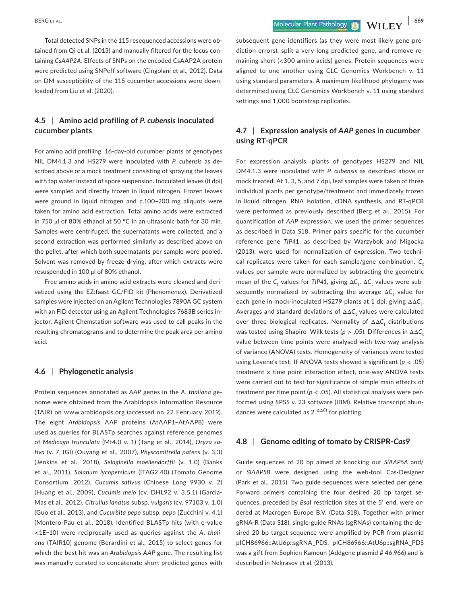Total detected SNPs in the 115 resequenced accessions were obtained from Qi et al. (2013) and manually filtered for the locus containing *CsAAP2A*. Effects of SNPs on the encoded CsAAP2A protein were predicted using SNPeff software (Cingolani et al., 2012). Data on DM susceptibility of the 115 cucumber accessions were downloaded from Liu et al. (2020).

# **4.5** | **Amino acid profiling of** *P. cubensis* **inoculated cucumber plants**

For amino acid profiling, 16-day-old cucumber plants of genotypes NIL DM4.1.3 and HS279 were inoculated with *P. cubensis* as described above or a mock treatment consisting of spraying the leaves with tap water instead of spore suspension. Inoculated leaves (8 dpi) were sampled and directly frozen in liquid nitrogen. Frozen leaves were ground in liquid nitrogen and c.100–200 mg aliquots were taken for amino acid extraction. Total amino acids were extracted in 750 μl of 80% ethanol at 50 °C in an ultrasonic bath for 30 min. Samples were centrifuged, the supernatants were collected, and a second extraction was performed similarly as described above on the pellet, after which both supernatants per sample were pooled. Solvent was removed by freeze-drying, after which extracts were resuspended in 100 μl of 80% ethanol.

Free amino acids in amino acid extracts were cleaned and derivatized using the EZ:faast GC/FID kit (Phenomenex). Derivatized samples were injected on an Agilent Technologies 7890A GC system with an FID detector using an Agilent Technologies 7683B series injector. Agilent Chemstation software was used to call peaks in the resulting chromatograms and to determine the peak area per amino acid.

#### **4.6** | **Phylogenetic analysis**

Protein sequences annotated as *AAP* genes in the *A. thaliana* genome were obtained from the Arabidopsis Information Resource (TAIR) on [www.arabidopsis.org](http://www.arabidopsis.org) (accessed on 22 February 2019). The eight *Arabidopsis* AAP proteins (AtAAP1–AtAAP8) were used as queries for BLASTp searches against reference genomes of *Medicago trunculata* (Mt4.0 v. 1) (Tang et al., 2014), *Oryza sativa* (v. 7\_JGI) (Ouyang et al., 2007), *Physcomitrella patens* (v. 3.3) (Jenkins et al., 2018), *Selaginella moellendorffii* (v. 1.0) (Banks et al., 2011), *Solanum lycopersicum* (ITAG2.40) (Tomato Genome Consortium, 2012), *Cucumis sativus* (Chinese Long 9930 v. 2) (Huang et al., 2009), *Cucumis melo* (cv. DHL92 v. 3.5.1) (Garcia-Mas et al., 2012), *Citrullus lanatus* subsp. *vulgaris* (cv. 97103 v. 1.0) (Guo et al., 2013), and *Cucurbita pepo* subsp. *pepo* (Zucchini v. 4.1) (Montero-Pau et al., 2018). Identified BLASTp hits (with e-value <1E−10) were reciprocally used as queries against the *A. thaliana* (TAIR10) genome (Berardini et al., 2015) to select genes for which the best hit was an *Arabidopsis AAP* gene. The resulting list was manually curated to concatenate short predicted genes with

subsequent gene identifiers (as they were most likely gene prediction errors), split a very long predicted gene, and remove remaining short (<300 amino acids) genes. Protein sequences were aligned to one another using CLC Genomics Workbench v. 11 using standard parameters. A maximum-likelihood phylogeny was determined using CLC Genomics Workbench v. 11 using standard settings and 1,000 bootstrap replicates.

# **4.7** | **Expression analysis of** *AAP* **genes in cucumber using RT-qPCR**

For expression analysis, plants of genotypes HS279 and NIL DM4.1.3 were inoculated with *P. cubensis* as described above or mock treated. At 1, 3, 5, and 7 dpi, leaf samples were taken of three individual plants per genotype/treatment and immediately frozen in liquid nitrogen. RNA isolation, cDNA synthesis, and RT-qPCR were performed as previously described (Berg et al., 2015). For quantification of *AAP* expression, we used the primer sequences as described in Data S18. Primer pairs specific for the cucumber reference gene *TIP4*1, as described by Warzybok and Migocka (2013), were used for normalization of expression. Two technical replicates were taken for each sample/gene combination. C<sub>t</sub> values per sample were normalized by subtracting the geometric mean of the  $C_{\text{t}}$  values for *TIP41*, giving  $\Delta C_{\text{t}}$ .  $\Delta C_{\text{t}}$  values were subsequently normalized by subtracting the average  $\Delta C_{\mathrm{t}}$  value for each gene in mock-inoculated HS279 plants at 1 dpi, giving ΔΔC<sub>t</sub>. Averages and standard deviations of ΔΔC<sub>t</sub> values were calculated over three biological replicates. Normality of ΔΔC<sub>t</sub> distributions was tested using Shapiro-Wilk tests ( $p > .05$ ). Differences in ΔΔC<sub>+</sub> value between time points were analysed with two-way analysis of variance (ANOVA) tests. Homogeneity of variances were tested using Levene's test. If ANOVA tests showed a significant (*p* < .05)  $t$ reatment  $\times$  time point interaction effect, one-way ANOVA tests were carried out to test for significance of simple main effects of treatment per time point (*p* < .05). All statistical analyses were performed using SPSS v. 23 software (IBM). Relative transcript abundances were calculated as 2−ΔΔ*C*<sup>t</sup> for plotting.

### **4.8** | **Genome editing of tomato by CRISPR-***Cas9*

Guide sequences of 20 bp aimed at knocking out *SlAAP5A* and/ or *SlAAP5B* were designed using the web-tool Cas-Designer (Park et al., 2015). Two guide sequences were selected per gene. Forward primers containing the four desired 20 bp target sequences, preceded by *Bsa*I restriction sites at the 5′ end, were ordered at Macrogen Europe B.V. (Data S18). Together with primer gRNA-R (Data S18), single-guide RNAs (sgRNAs) containing the desired 20 bp target sequence were amplified by PCR from plasmid pICH86966::AtU6p::sgRNA\_PDS. pICH86966::AtU6p::sgRNA\_PDS was a gift from Sophien Kamoun (Addgene plasmid # 46,966) and is described in Nekrasov et al. (2013).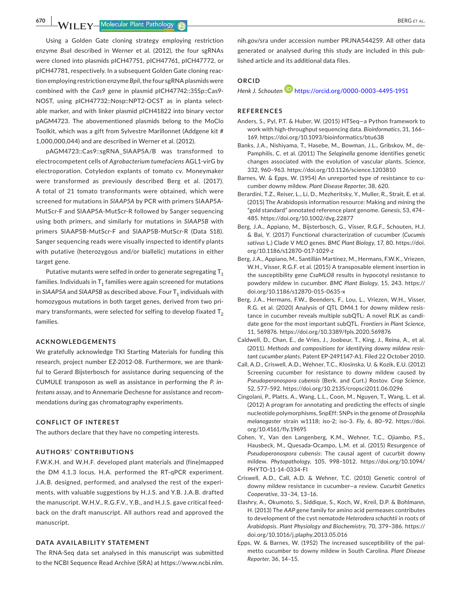**670 <b>A IM II EV Molecular Plant Pathology BLACE AL. BERG ET AL. BERG ET AL.** 

Using a Golden Gate cloning strategy employing restriction enzyme *Bsa*I described in Werner et al. (2012), the four sgRNAs were cloned into plasmids pICH47751, pICH47761, pICH47772, or pICH47781, respectively. In a subsequent Golden Gate cloning reaction employing restriction enzyme *Bpi*I, the four sgRNA plasmids were combined with the *Cas9* gene in plasmid pICH47742::35Sp::Cas9- NOST, using pICH47732::Nosp::NPT2-OCST as in planta selectable marker, and with linker plasmid pICH41822 into binary vector pAGM4723. The abovementioned plasmids belong to the MoClo Toolkit, which was a gift from Sylvestre Marillonnet (Addgene kit # 1,000,000,044) and are described in Werner et al. (2012).

pAGM4723::Cas9::sgRNA\_SlAAP5A/B was transformed to electrocompetent cells of *Agrobacterium tumefaciens* AGL1-virG by electroporation. Cotyledon explants of tomato cv. Moneymaker were transformed as previously described Berg et al. (2017). A total of 21 tomato transformants were obtained, which were screened for mutations in *SlAAP5A* by PCR with primers SlAAP5A-MutScr-F and SlAAP5A-MutScr-R followed by Sanger sequencing using both primers, and similarly for mutations in *SlAAP5B* with primers SlAAP5B-MutScr-F and SlAAP5B-MutScr-R (Data S18). Sanger sequencing reads were visually inspected to identify plants with putative (heterozygous and/or biallelic) mutations in either target gene.

Putative mutants were selfed in order to generate segregating  $T_1$ families. Individuals in  $T_1$  families were again screened for mutations in *SIAAP5A* and *SIAAP5B* as described above. Four T<sub>1</sub> individuals with homozygous mutations in both target genes, derived from two primary transformants, were selected for selfing to develop fixated  $T<sub>2</sub>$ families.

#### **ACKNOWLEDGEMENTS**

We gratefully acknowledge TKI Starting Materials for funding this research, project number EZ-2012-08. Furthermore, we are thankful to Gerard Bijsterbosch for assistance during sequencing of the CUMULE transposon as well as assistance in performing the *P. infestans* assay, and to Annemarie Dechesne for assistance and recommendations during gas chromatography experiments.

#### **CONFLICT OF INTEREST**

The authors declare that they have no competing interests.

#### **AUTHORS' CONTRIBUTIONS**

F.W.K.H. and W.H.F. developed plant materials and (fine)mapped the DM 4.1.3 locus. H.A. performed the RT-qPCR experiment. J.A.B. designed, performed, and analysed the rest of the experiments, with valuable suggestions by H.J.S. and Y.B. J.A.B. drafted the manuscript. W.H.V., R.G.F.V., Y.B., and H.J.S. gave critical feedback on the draft manuscript. All authors read and approved the manuscript.

#### **DATA AVAILABILITY STATEMENT**

The RNA-Seq data set analysed in this manuscript was submitted to the NCBI Sequence Read Archive (SRA) at [https://www.ncbi.nlm.](https://www.ncbi.nlm.nih.gov/sra)

[nih.gov/sra](https://www.ncbi.nlm.nih.gov/sra) under accession number [PRJNA544259](info:x-wiley/peptideatlas/PRJNA544259). All other data generated or analysed during this study are included in this published article and its additional data files.

#### **ORCID**

*Henk J. Schoute[n](https://orcid.org/0000-0003-4495-1951)* <https://orcid.org/0000-0003-4495-1951>

#### **REFERENCES**

- Anders, S., Pyl, P.T. & Huber, W. (2015) HTSeq—a Python framework to work with high-throughput sequencing data. *Bioinformatics*, 31, 166– 169. <https://doi.org/10.1093/bioinformatics/btu638>
- Banks, J.A., Nishiyama, T., Hasebe, M., Bowman, J.L., Gribskov, M., de-Pamphilis, C. et al. (2011) The *Selaginella* genome identifies genetic changes associated with the evolution of vascular plants. *Science*, 332, 960–963. <https://doi.org/10.1126/science.1203810>
- Barnes, W. & Epps, W. (1954) An unreported type of resistance to cucumber downy mildew. *Plant Disease Reporter*, 38, 620.
- Berardini, T.Z., Reiser, L., Li, D., Mezheritsky, Y., Muller, R., Strait, E. et al. (2015) The Arabidopsis information resource: Making and mining the "gold standard" annotated reference plant genome. *Genesis*, 53, 474– 485. <https://doi.org/10.1002/dvg.22877>
- Berg, J.A., Appiano, M., Bijsterbosch, G., Visser, R.G.F., Schouten, H.J. & Bai, Y. (2017) Functional characterization of cucumber (*Cucumis sativus* L.) Clade V *MLO* genes. *BMC Plant Biology*, 17, 80. [https://doi.](https://doi.org/10.1186/s12870-017-1029-z) [org/10.1186/s12870-017-1029-z](https://doi.org/10.1186/s12870-017-1029-z)
- Berg, J.A., Appiano, M., Santillán Martínez, M., Hermans, F.W.K., Vriezen, W.H., Visser, R.G.F. et al. (2015) A transposable element insertion in the susceptibility gene *CsaMLO8* results in hypocotyl resistance to powdery mildew in cucumber. *BMC Plant Biology*, 15, 243. [https://](https://doi.org/10.1186/s12870-015-0635-x) [doi.org/10.1186/s12870-015-0635-x](https://doi.org/10.1186/s12870-015-0635-x)
- Berg, J.A., Hermans, F.W., Beenders, F., Lou, L., Vriezen, W.H., Visser, R.G. et al. (2020) Analysis of QTL DM4.1 for downy mildew resistance in cucumber reveals multiple subQTL: A novel RLK as candidate gene for the most important subQTL. *Frontiers in Plant Science*, 11, 569876.<https://doi.org/10.3389/fpls.2020.569876>
- Caldwell, D., Chan, E., de Vries, J., Joobeur, T., King, J., Reina, A., et al. (2011). *Methods and compositions for identifying downy mildew resistant cucumber plants*. Patent EP-2491147-A1. Filed 22 October 2010.
- Call, A.D., Criswell, A.D., Wehner, T.C., Klosinska, U. & Kozik, E.U. (2012) Screening cucumber for resistance to downy mildew caused by *Pseudoperonospora cubensis* (Berk. and Curt.) Rostov. *Crop Science*, 52, 577–592.<https://doi.org/10.2135/cropsci2011.06.0296>
- Cingolani, P., Platts, A., Wang, L.L., Coon, M., Nguyen, T., Wang, L. et al. (2012) A program for annotating and predicting the effects of single nucleotide polymorphisms, SnpEff: SNPs in the genome of *Drosophila melanogaster* strain w1118; iso-2; iso-3. *Fly*, 6, 80–92. [https://doi.](https://doi.org/10.4161/fly.19695) [org/10.4161/fly.19695](https://doi.org/10.4161/fly.19695)
- Cohen, Y., Van den Langenberg, K.M., Wehner, T.C., Ojiambo, P.S., Hausbeck, M., Quesada-Ocampo, L.M. et al. (2015) Resurgence of *Pseudoperonospora cubensis*: The causal agent of cucurbit downy mildew. *Phytopathology*, 105, 998–1012. [https://doi.org/10.1094/](https://doi.org/10.1094/PHYTO-11-14-0334-FI) [PHYTO-11-14-0334-FI](https://doi.org/10.1094/PHYTO-11-14-0334-FI)
- Criswell, A.D., Call, A.D. & Wehner, T.C. (2010) Genetic control of downy mildew resistance in cucumber—a review. *Cucurbit Genetics Cooperative*, 33–34, 13–16.
- Elashry, A., Okumoto, S., Siddique, S., Koch, W., Kreil, D.P. & Bohlmann, H. (2013) The *AAP* gene family for amino acid permeases contributes to development of the cyst nematode *Heterodera schachtii* in roots of *Arabidopsis*. *Plant Physiology and Biochemistry*, 70, 379–386. [https://](https://doi.org/10.1016/j.plaphy.2013.05.016) [doi.org/10.1016/j.plaphy.2013.05.016](https://doi.org/10.1016/j.plaphy.2013.05.016)
- Epps, W. & Barnes, W. (1952) The increased susceptibility of the palmetto cucumber to downy mildew in South Carolina. *Plant Disease Reporter*, 36, 14–15.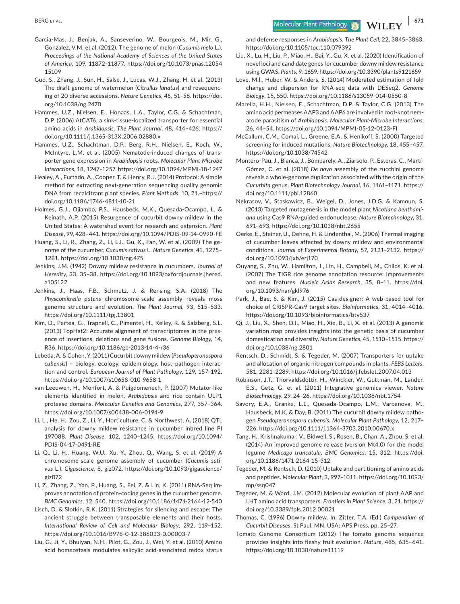**BERG ET AL.** 671

- Garcia-Mas, J., Benjak, A., Sanseverino, W., Bourgeois, M., Mir, G., Gonzalez, V.M. et al. (2012). The genome of melon (*Cucumis melo* L.). *Proceedings of the National Academy of Sciences of the United States of America*, 109, 11872–11877. [https://doi.org/10.1073/pnas.12054](https://doi.org/10.1073/pnas.1205415109) [15109](https://doi.org/10.1073/pnas.1205415109)
- Guo, S., Zhang, J., Sun, H., Salse, J., Lucas, W.J., Zhang, H. et al. (2013) The draft genome of watermelon (*Citrullus lanatus*) and resequencing of 20 diverse accessions. *Nature Genetics*, 45, 51–58. [https://doi.](https://doi.org/10.1038/ng.2470) [org/10.1038/ng.2470](https://doi.org/10.1038/ng.2470)
- Hammes, U.Z., Nielsen, E., Honaas, L.A., Taylor, C.G. & Schachtman, D.P. (2006) AtCAT6, a sink-tissue-localized transporter for essential amino acids in *Arabidopsis*. *The Plant Journal*, 48, 414–426. [https://](https://doi.org/10.1111/j.1365-313X.2006.02880.x) [doi.org/10.1111/j.1365-313X.2006.02880.x](https://doi.org/10.1111/j.1365-313X.2006.02880.x)
- Hammes, U.Z., Schachtman, D.P., Berg, R.H., Nielsen, E., Koch, W., McIntyre, L.M. et al. (2005) Nematode-induced changes of transporter gene expression in *Arabidopsis* roots. *Molecular Plant-Microbe Interactions*, 18, 1247–1257. <https://doi.org/10.1094/MPMI-18-1247>
- Healey, A., Furtado, A., Cooper, T. & Henry, R.J. (2014) Protocol: A simple method for extracting next-generation sequencing quality genomic DNA from recalcitrant plant species. *Plant Methods*, 10, 21.[–https://](https://doi.org/10.1186/1746-4811-10-21) [doi.org/10.1186/1746-4811-10-21](https://doi.org/10.1186/1746-4811-10-21)
- Holmes, G.J., Ojiambo, P.S., Hausbeck, M.K., Quesada-Ocampo, L. & Keinath, A.P. (2015) Resurgence of cucurbit downy mildew in the United States: A watershed event for research and extension. *Plant Disease*, 99, 428–441.<https://doi.org/10.1094/PDIS-09-14-0990-FE>
- Huang, S., Li, R., Zhang, Z., Li, L.I., Gu, X., Fan, W. et al. (2009) The genome of the cucumber, *Cucumis sativus* L. *Nature Genetics*, 41, 1275– 1281.<https://doi.org/10.1038/ng.475>
- Jenkins, J.M. (1942) Downy mildew resistance in cucumbers. *Journal of Heredity*, 33, 35–38. [https://doi.org/10.1093/oxfordjournals.jhered.](https://doi.org/10.1093/oxfordjournals.jhered.a105122) [a105122](https://doi.org/10.1093/oxfordjournals.jhered.a105122)
- Jenkins, J., Haas, F.B., Schmutz, J. & Rensing, S.A. (2018) The *Physcomitrella patens* chromosome-scale assembly reveals moss genome structure and evolution. *The Plant Journal*, 93, 515–533. <https://doi.org/10.1111/tpj.13801>
- Kim, D., Pertea, G., Trapnell, C., Pimentel, H., Kelley, R. & Salzberg, S.L. (2013) TopHat2: Accurate alignment of transcriptomes in the presence of insertions, deletions and gene fusions. *Genome Biology*, 14, R36.<https://doi.org/10.1186/gb-2013-14-4-r36>
- Lebeda, A. & Cohen, Y. (2011) Cucurbit downy mildew (*Pseudoperonospora cubensis*) – biology, ecology, epidemiology, host–pathogen interaction and control. *European Journal of Plant Pathology*, 129, 157–192. <https://doi.org/10.1007/s10658-010-9658-1>
- van Leeuwen, H., Monfort, A. & Puigdomenech, P. (2007) Mutator-like elements identified in melon, *Arabidopsis* and rice contain ULP1 protease domains. *Molecular Genetics and Genomics*, 277, 357–364. <https://doi.org/10.1007/s00438-006-0194-9>
- Li, L., He, H., Zou, Z., Li, Y., Horticulture, C. & Northwest, A. (2018) QTL analysis for downy mildew resistance in cucumber inbred line PI 197088. *Plant Disease*, 102, 1240–1245. [https://doi.org/10.1094/](https://doi.org/10.1094/PDIS-04-17-0491-RE) [PDIS-04-17-0491-RE](https://doi.org/10.1094/PDIS-04-17-0491-RE)
- Li, Q., Li, H., Huang, W.U., Xu, Y., Zhou, Q., Wang, S. et al. (2019) A chromosome-scale genome assembly of cucumber (*Cucumis sativus* L.). *Gigascience*, 8, giz072. [https://doi.org/10.1093/gigascience/](https://doi.org/10.1093/gigascience/giz072) [giz072](https://doi.org/10.1093/gigascience/giz072)
- Li, Z., Zhang, Z., Yan, P., Huang, S., Fei, Z. & Lin, K. (2011) RNA-Seq improves annotation of protein-coding genes in the cucumber genome. *BMC Genomics*, 12, 540. <https://doi.org/10.1186/1471-2164-12-540>
- Lisch, D. & Slotkin, R.K. (2011) Strategies for silencing and escape: The ancient struggle between transposable elements and their hosts. *International Review of Cell and Molecular Biology*, 292, 119–152. <https://doi.org/10.1016/B978-0-12-386033-0.00003-7>
- Liu, G., Ji, Y., Bhuiyan, N.H., Pilot, G., Zou, J., Wei, Y. et al. (2010) Amino acid homeostasis modulates salicylic acid-associated redox status

and defense responses in *Arabidopsis*. *The Plant Cell*, 22, 3845–3863. <https://doi.org/10.1105/tpc.110.079392>

- Liu, X., Lu, H., Liu, P., Miao, H., Bai, Y., Gu, X. et al. (2020) Identification of novel loci and candidate genes for cucumber downy mildew resistance using GWAS. *Plants*, 9, 1659. <https://doi.org/10.3390/plants9121659>
- Love, M.I., Huber, W. & Anders, S. (2014) Moderated estimation of fold change and dispersion for RNA-seq data with DESeq2. *Genome Biology*, 15, 550.<https://doi.org/10.1186/s13059-014-0550-8>
- Marella, H.H., Nielsen, E., Schachtman, D.P. & Taylor, C.G. (2013) The amino acid permeases AAP3 and AAP6 are involved in root-knot nematode parasitism of *Arabidopsis*. *Molecular Plant-Microbe Interactions*, 26, 44–54.<https://doi.org/10.1094/MPMI-05-12-0123-FI>
- McCallum, C.M., Comai, L., Greene, E.A. & Henikoff, S. (2000) Targeted screening for induced mutations. *Nature Biotechnology*, 18, 455–457. <https://doi.org/10.1038/74542>
- Montero-Pau, J., Blanca, J., Bombarely, A., Ziarsolo, P., Esteras, C., Martí-Gómez, C. et al. (2018) *De novo* assembly of the zucchini genome reveals a whole-genome duplication associated with the origin of the *Cucurbita* genus. *Plant Biotechnology Journal*, 16, 1161–1171. [https://](https://doi.org/10.1111/pbi.12860) [doi.org/10.1111/pbi.12860](https://doi.org/10.1111/pbi.12860)
- Nekrasov, V., Staskawicz, B., Weigel, D., Jones, J.D.G. & Kamoun, S. (2013) Targeted mutagenesis in the model plant *Nicotiana benthamiana* using Cas9 RNA-guided endonuclease. *Nature Biotechnology*, 31, 691–693.<https://doi.org/10.1038/nbt.2655>
- Oerke, E., Steiner, U., Dehne, H. & Lindenthal, M. (2006) Thermal imaging of cucumber leaves affected by downy mildew and environmental conditions. *Journal of Experimental Botany*, 57, 2121–2132. [https://](https://doi.org/10.1093/jxb/erj170) [doi.org/10.1093/jxb/erj170](https://doi.org/10.1093/jxb/erj170)
- Ouyang, S., Zhu, W., Hamilton, J., Lin, H., Campbell, M., Childs, K. et al. (2007) The TIGR rice genome annotation resource: Improvements and new features. *Nucleic Acids Research*, 35, 8–11. [https://doi.](https://doi.org/10.1093/nar/gkl976) [org/10.1093/nar/gkl976](https://doi.org/10.1093/nar/gkl976)
- Park, J., Bae, S. & Kim, J. (2015) Cas-designer: A web-based tool for choice of CRISPR-Cas9 target sites. *Bioinformatics*, 31, 4014–4016. <https://doi.org/10.1093/bioinformatics/btv537>
- Qi, J., Liu, X., Shen, D.I., Miao, H., Xie, B., Li, X. et al. (2013) A genomic variation map provides insights into the genetic basis of cucumber domestication and diversity. *Nature Genetics*, 45, 1510–1515. [https://](https://doi.org/10.1038/ng.2801) [doi.org/10.1038/ng.2801](https://doi.org/10.1038/ng.2801)
- Rentsch, D., Schmidt, S. & Tegeder, M. (2007) Transporters for uptake and allocation of organic nitrogen compounds in plants. *FEBS Letters*, 581, 2281–2289.<https://doi.org/10.1016/j.febslet.2007.04.013>
- Robinson, J.T., Thorvaldsdóttir, H., Winckler, W., Guttman, M., Lander, E.S., Getz, G. et al. (2011) Integrative genomics viewer. *Nature Biotechnology*, 29, 24–26. <https://doi.org/10.1038/nbt.1754>
- Savory, E.A., Granke, L.L., Quesada-Ocampo, L.M., Varbanova, M., Hausbeck, M.K. & Day, B. (2011) The cucurbit downy mildew pathogen *Pseudoperonospora cubensis*. *Molecular Plant Pathology*, 12, 217– 226. <https://doi.org/10.1111/j.1364-3703.2010.00670.x>
- Tang, H., Krishnakumar, V., Bidwell, S., Rosen, B., Chan, A., Zhou, S. et al. (2014) An improved genome release (version Mt4.0) for the model legume *Medicago truncatula*. *BMC Genomics*, 15, 312. [https://doi.](https://doi.org/10.1186/1471-2164-15-312) [org/10.1186/1471-2164-15-312](https://doi.org/10.1186/1471-2164-15-312)
- Tegeder, M. & Rentsch, D. (2010) Uptake and partitioning of amino acids and peptides. *Molecular Plant*, 3, 997–1011. [https://doi.org/10.1093/](https://doi.org/10.1093/mp/ssq047) [mp/ssq047](https://doi.org/10.1093/mp/ssq047)
- Tegeder, M. & Ward, J.M. (2012) Molecular evolution of plant AAP and LHT amino acid transporters. *Frontiers in Plant Science*, 3, 21. [https://](https://doi.org/10.3389/fpls.2012.00021) [doi.org/10.3389/fpls.2012.00021](https://doi.org/10.3389/fpls.2012.00021)
- Thomas, C. (1996) Downy mildew. In: Zitter, T.A. (Ed.) *Compendium of Cucurbit Diseases*. St Paul, MN, USA: APS Press, pp. 25–27.
- Tomato Genome Consortium (2012) The tomato genome sequence provides insights into fleshy fruit evolution. *Nature*, 485, 635–641. <https://doi.org/10.1038/nature11119>